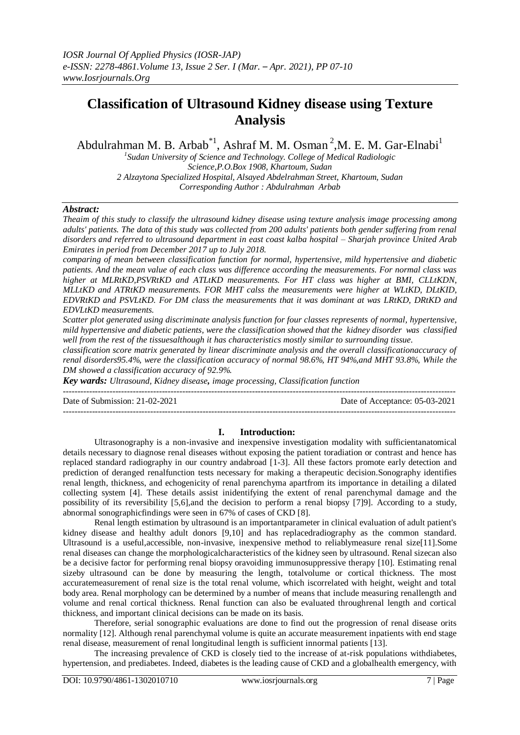# **Classification of Ultrasound Kidney disease using Texture Analysis**

Abdulrahman M. B. Arbab<sup>\*1</sup>, Ashraf M. M. Osman<sup>2</sup>, M. E. M. Gar-Elnabi<sup>1</sup>

*1 Sudan University of Science and Technology. College of Medical Radiologic Science,P.O.Box 1908, Khartoum, Sudan 2 Alzaytona Specialized Hospital, Alsayed Abdelrahman Street, Khartoum, Sudan Corresponding Author : Abdulrahman Arbab*

#### *Abstract:*

*Theaim of this study to classify the ultrasound kidney disease using texture analysis image processing among adults' patients. The data of this study was collected from 200 adults' patients both gender suffering from renal disorders and referred to ultrasound department in east coast kalba hospital – Sharjah province United Arab Emirates in period from December 2017 up to July 2018.*

*comparing of mean between classification function for normal, hypertensive, mild hypertensive and diabetic patients. And the mean value of each class was difference according the measurements. For normal class was higher at MLRtKD,PSVRtKD and ATLtKD measurements. For HT class was higher at BMI, CLLtKDN, MLLtKD and ATRtKD measurements. FOR MHT calss the measurements were higher at WLtKD, DLtKID, EDVRtKD and PSVLtKD. For DM class the measurements that it was dominant at was LRtKD, DRtKD and EDVLtKD measurements.* 

*Scatter plot generated using discriminate analysis function for four classes represents of normal, hypertensive, mild hypertensive and diabetic patients, were the classification showed that the kidney disorder was classified well from the rest of the tissuesalthough it has characteristics mostly similar to surrounding tissue.*

*classification score matrix generated by linear discriminate analysis and the overall classificationaccuracy of renal disorders95.4%, were the classification accuracy of normal 98.6%, HT 94%,and MHT 93.8%, While the DM showed a classification accuracy of 92.9%.*

*Key wards: Ultrasound, Kidney disease, image processing, Classification function*  $-1.1$ 

Date of Submission: 21-02-2021 Date of Acceptance: 05-03-2021

#### **I. Introduction:**

---------------------------------------------------------------------------------------------------------------------------------------

Ultrasonography is a non-invasive and inexpensive investigation modality with sufficientanatomical details necessary to diagnose renal diseases without exposing the patient toradiation or contrast and hence has replaced standard radiography in our country andabroad [1-3]. All these factors promote early detection and prediction of deranged renalfunction tests necessary for making a therapeutic decision.Sonography identifies renal length, thickness, and echogenicity of renal parenchyma apartfrom its importance in detailing a dilated collecting system [4]. These details assist inidentifying the extent of renal parenchymal damage and the possibility of its reversibility [5,6],and the decision to perform a renal biopsy [7]9]. According to a study, abnormal sonographicfindings were seen in 67% of cases of CKD [8].

Renal length estimation by ultrasound is an importantparameter in clinical evaluation of adult patient's kidney disease and healthy adult donors [9,10] and has replacedradiography as the common standard. Ultrasound is a useful,accessible, non-invasive, inexpensive method to reliablymeasure renal size[11].Some renal diseases can change the morphologicalcharacteristics of the kidney seen by ultrasound. Renal sizecan also be a decisive factor for performing renal biopsy oravoiding immunosuppressive therapy [10]. Estimating renal sizeby ultrasound can be done by measuring the length, totalvolume or cortical thickness. The most accuratemeasurement of renal size is the total renal volume, which iscorrelated with height, weight and total body area. Renal morphology can be determined by a number of means that include measuring renallength and volume and renal cortical thickness. Renal function can also be evaluated throughrenal length and cortical thickness, and important clinical decisions can be made on its basis.

Therefore, serial sonographic evaluations are done to find out the progression of renal disease orits normality [12]. Although renal parenchymal volume is quite an accurate measurement inpatients with end stage renal disease, measurement of renal longitudinal length is sufficient innormal patients [13].

The increasing prevalence of CKD is closely tied to the increase of at-risk populations withdiabetes, hypertension, and prediabetes. Indeed, diabetes is the leading cause of CKD and a globalhealth emergency, with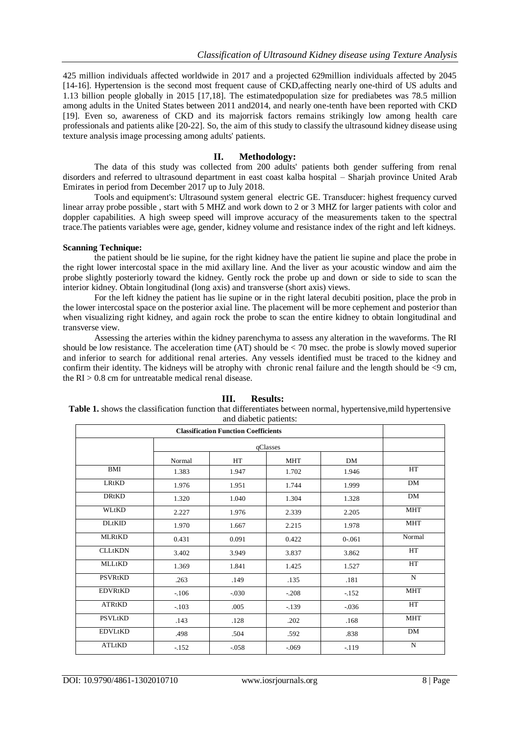425 million individuals affected worldwide in 2017 and a projected 629million individuals affected by 2045 [14-16]. Hypertension is the second most frequent cause of CKD,affecting nearly one-third of US adults and 1.13 billion people globally in 2015 [17,18]. The estimatedpopulation size for prediabetes was 78.5 million among adults in the United States between 2011 and2014, and nearly one-tenth have been reported with CKD [19]. Even so, awareness of CKD and its majorrisk factors remains strikingly low among health care professionals and patients alike [20-22]. So, the aim of this study to classify the ultrasound kidney disease using texture analysis image processing among adults' patients.

#### **II. Methodology:**

The data of this study was collected from 200 adults' patients both gender suffering from renal disorders and referred to ultrasound department in east coast kalba hospital – Sharjah province United Arab Emirates in period from December 2017 up to July 2018.

Tools and equipment's: Ultrasound system general electric GE. Transducer: highest frequency curved linear array probe possible , start with 5 MHZ and work down to 2 or 3 MHZ for larger patients with color and doppler capabilities. A high sweep speed will improve accuracy of the measurements taken to the spectral trace.The patients variables were age, gender, kidney volume and resistance index of the right and left kidneys.

#### **Scanning Technique:**

the patient should be lie supine, for the right kidney have the patient lie supine and place the probe in the right lower intercostal space in the mid axillary line. And the liver as your acoustic window and aim the probe slightly posteriorly toward the kidney. Gently rock the probe up and down or side to side to scan the interior kidney. Obtain longitudinal (long axis) and transverse (short axis) views.

For the left kidney the patient has lie supine or in the right lateral decubiti position, place the prob in the lower intercostal space on the posterior axial line. The placement will be more cephement and posterior than when visualizing right kidney, and again rock the probe to scan the entire kidney to obtain longitudinal and transverse view.

Assessing the arteries within the kidney parenchyma to assess any alteration in the waveforms. The RI should be low resistance. The acceleration time  $(AT)$  should be  $< 70$  msec. the probe is slowly moved superior and inferior to search for additional renal arteries. Any vessels identified must be traced to the kidney and confirm their identity. The kidneys will be atrophy with chronic renal failure and the length should be <9 cm, the  $RI > 0.8$  cm for untreatable medical renal disease.

|                |         | and diabetic patients: |            |           |             |
|----------------|---------|------------------------|------------|-----------|-------------|
|                |         |                        |            |           |             |
|                |         |                        |            |           |             |
|                | Normal  | HT                     | <b>MHT</b> | DM        |             |
| BMI            | 1.383   | 1.947                  | 1.702      | 1.946     | <b>HT</b>   |
| <b>LRtKD</b>   | 1.976   | 1.951                  | 1.744      | 1.999     | DM          |
| <b>DRtKD</b>   | 1.320   | 1.040                  | 1.304      | 1.328     | DM          |
| WLtKD          | 2.227   | 1.976                  | 2.339      | 2.205     | <b>MHT</b>  |
| <b>DLtKID</b>  | 1.970   | 1.667                  | 2.215      | 1.978     | <b>MHT</b>  |
| <b>MLRtKD</b>  | 0.431   | 0.091                  | 0.422      | $0 - 061$ | Normal      |
| <b>CLLtKDN</b> | 3.402   | 3.949                  | 3.837      | 3.862     | HT          |
| <b>MLLtKD</b>  | 1.369   | 1.841                  | 1.425      | 1.527     | HT          |
| PSVRtKD        | .263    | .149                   | .135       | .181      | N           |
| <b>EDVRtKD</b> | $-.106$ | $-0.30$                | $-.208$    | $-152$    | <b>MHT</b>  |
| ATRtKD         | $-103$  | .005                   | $-139$     | $-0.036$  | HT          |
| PSVLtKD        | .143    | .128                   | .202       | .168      | <b>MHT</b>  |
| <b>EDVLtKD</b> | .498    | .504                   | .592       | .838      | <b>DM</b>   |
| ATLtKD         | $-152$  | $-0.058$               | $-0.069$   | $-119$    | $\mathbf N$ |

#### **III. Results:**

**Table 1.** shows the classification function that differentiates between normal, hypertensive,mild hypertensive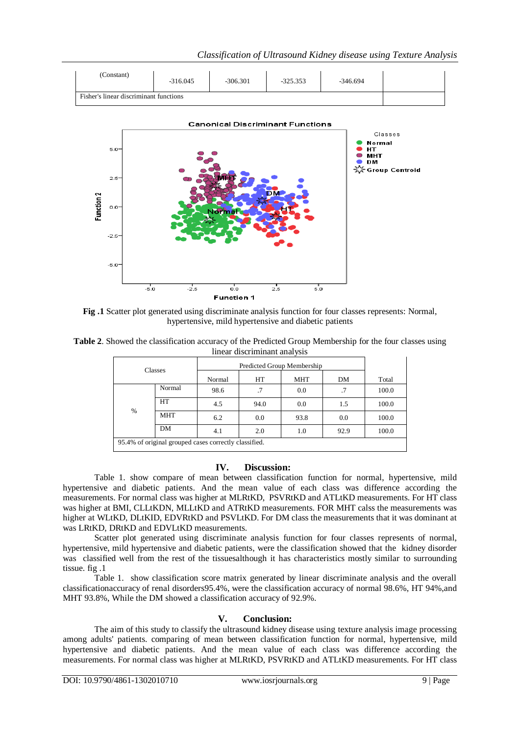



**Fig .1** Scatter plot generated using discriminate analysis function for four classes represents: Normal, hypertensive, mild hypertensive and diabetic patients

| Table 2. Showed the classification accuracy of the Predicted Group Membership for the four classes using |  |
|----------------------------------------------------------------------------------------------------------|--|
| linear discriminant analysis                                                                             |  |

| <b>Classes</b>                                        |            | Predicted Group Membership |      |            |      |       |  |  |
|-------------------------------------------------------|------------|----------------------------|------|------------|------|-------|--|--|
|                                                       |            | Normal                     | HT   | <b>MHT</b> | DM   | Total |  |  |
| $\%$                                                  | Normal     | 98.6                       | .7   | 0.0        | .7   | 100.0 |  |  |
|                                                       | HT         | 4.5                        | 94.0 | 0.0        | 1.5  | 100.0 |  |  |
|                                                       | <b>MHT</b> | 6.2                        | 0.0  | 93.8       | 0.0  | 100.0 |  |  |
|                                                       | DM         | 4.1                        | 2.0  | 1.0        | 92.9 | 100.0 |  |  |
| 95.4% of original grouped cases correctly classified. |            |                            |      |            |      |       |  |  |

### **IV. Discussion:**

Table 1. show compare of mean between classification function for normal, hypertensive, mild hypertensive and diabetic patients. And the mean value of each class was difference according the measurements. For normal class was higher at MLRtKD, PSVRtKD and ATLtKD measurements. For HT class was higher at BMI, CLLtKDN, MLLtKD and ATRtKD measurements. FOR MHT calss the measurements was higher at WLtKD, DLtKID, EDVRtKD and PSVLtKD. For DM class the measurements that it was dominant at was LRtKD, DRtKD and EDVLtKD measurements.

Scatter plot generated using discriminate analysis function for four classes represents of normal, hypertensive, mild hypertensive and diabetic patients, were the classification showed that the kidney disorder was classified well from the rest of the tissuesalthough it has characteristics mostly similar to surrounding tissue. fig .1

Table 1. show classification score matrix generated by linear discriminate analysis and the overall classificationaccuracy of renal disorders95.4%, were the classification accuracy of normal 98.6%, HT 94%,and MHT 93.8%, While the DM showed a classification accuracy of 92.9%.

## **V. Conclusion:**

The aim of this study to classify the ultrasound kidney disease using texture analysis image processing among adults' patients. comparing of mean between classification function for normal, hypertensive, mild hypertensive and diabetic patients. And the mean value of each class was difference according the measurements. For normal class was higher at MLRtKD, PSVRtKD and ATLtKD measurements. For HT class